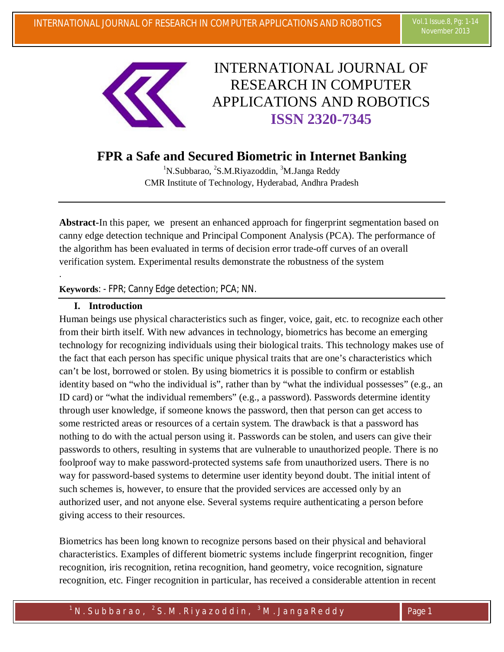

# INTERNATIONAL JOURNAL OF RESEARCH IN COMPUTER APPLICATIONS AND ROBOTICS **ISSN 2320-7345**

# **FPR a Safe and Secured Biometric in Internet Banking**

<sup>1</sup>N.Subbarao, <sup>2</sup>S.M.Riyazoddin, <sup>3</sup>M.Janga Reddy CMR Institute of Technology, Hyderabad, Andhra Pradesh

**Abstract-**In this paper, we present an enhanced approach for fingerprint segmentation based on canny edge detection technique and Principal Component Analysis (PCA). The performance of the algorithm has been evaluated in terms of decision error trade-off curves of an overall verification system. Experimental results demonstrate the robustness of the system

# **Keywords**: - FPR; Canny Edge detection; PCA; NN.

#### **I. Introduction**

.

Human beings use physical characteristics such as finger, voice, gait, etc. to recognize each other from their birth itself. With new advances in technology, biometrics has become an emerging technology for recognizing individuals using their biological traits. This technology makes use of the fact that each person has specific unique physical traits that are one's characteristics which can't be lost, borrowed or stolen. By using biometrics it is possible to confirm or establish identity based on "who the individual is", rather than by "what the individual possesses" (e.g., an ID card) or "what the individual remembers" (e.g., a password). Passwords determine identity through user knowledge, if someone knows the password, then that person can get access to some restricted areas or resources of a certain system. The drawback is that a password has nothing to do with the actual person using it. Passwords can be stolen, and users can give their passwords to others, resulting in systems that are vulnerable to unauthorized people. There is no foolproof way to make password-protected systems safe from unauthorized users. There is no way for password-based systems to determine user identity beyond doubt. The initial intent of such schemes is, however, to ensure that the provided services are accessed only by an authorized user, and not anyone else. Several systems require authenticating a person before giving access to their resources.

Biometrics has been long known to recognize persons based on their physical and behavioral characteristics. Examples of different biometric systems include fingerprint recognition, finger recognition, iris recognition, retina recognition, hand geometry, voice recognition, signature recognition, etc. Finger recognition in particular, has received a considerable attention in recent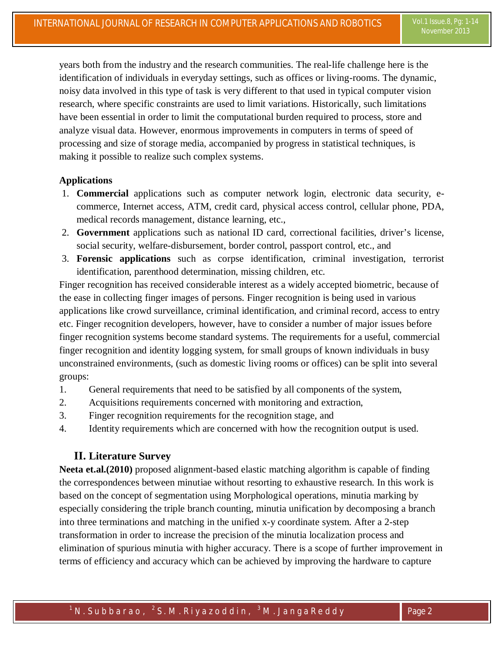years both from the industry and the research communities. The real-life challenge here is the identification of individuals in everyday settings, such as offices or living-rooms. The dynamic, noisy data involved in this type of task is very different to that used in typical computer vision research, where specific constraints are used to limit variations. Historically, such limitations have been essential in order to limit the computational burden required to process, store and analyze visual data. However, enormous improvements in computers in terms of speed of processing and size of storage media, accompanied by progress in statistical techniques, is making it possible to realize such complex systems.

# **Applications**

- 1. **Commercial** applications such as computer network login, electronic data security, ecommerce, Internet access, ATM, credit card, physical access control, cellular phone, PDA, medical records management, distance learning, etc.,
- 2. **Government** applications such as national ID card, correctional facilities, driver's license, social security, welfare-disbursement, border control, passport control, etc., and
- 3. **Forensic applications** such as corpse identification, criminal investigation, terrorist identification, parenthood determination, missing children, etc.

Finger recognition has received considerable interest as a widely accepted biometric, because of the ease in collecting finger images of persons. Finger recognition is being used in various applications like crowd surveillance, criminal identification, and criminal record, access to entry etc. Finger recognition developers, however, have to consider a number of major issues before finger recognition systems become standard systems. The requirements for a useful, commercial finger recognition and identity logging system, for small groups of known individuals in busy unconstrained environments, (such as domestic living rooms or offices) can be split into several groups:

- 1. General requirements that need to be satisfied by all components of the system,
- 2. Acquisitions requirements concerned with monitoring and extraction,
- 3. Finger recognition requirements for the recognition stage, and
- 4. Identity requirements which are concerned with how the recognition output is used.

#### **II. Literature Survey**

**Neeta et.al.(2010)** proposed alignment-based elastic matching algorithm is capable of finding the correspondences between minutiae without resorting to exhaustive research. In this work is based on the concept of segmentation using Morphological operations, minutia marking by especially considering the triple branch counting, minutia unification by decomposing a branch into three terminations and matching in the unified x-y coordinate system. After a 2-step transformation in order to increase the precision of the minutia localization process and elimination of spurious minutia with higher accuracy. There is a scope of further improvement in terms of efficiency and accuracy which can be achieved by improving the hardware to capture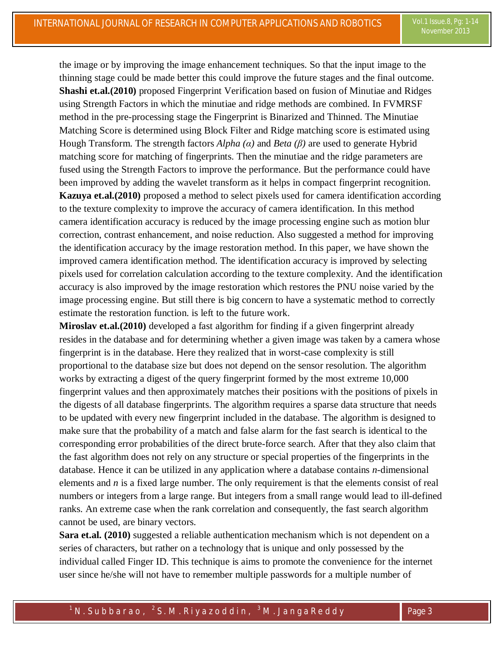the image or by improving the image enhancement techniques. So that the input image to the thinning stage could be made better this could improve the future stages and the final outcome. **Shashi et.al.(2010)** proposed Fingerprint Verification based on fusion of Minutiae and Ridges using Strength Factors in which the minutiae and ridge methods are combined. In FVMRSF method in the pre-processing stage the Fingerprint is Binarized and Thinned. The Minutiae Matching Score is determined using Block Filter and Ridge matching score is estimated using Hough Transform. The strength factors *Alpha (α)* and *Beta (β)* are used to generate Hybrid matching score for matching of fingerprints. Then the minutiae and the ridge parameters are fused using the Strength Factors to improve the performance. But the performance could have been improved by adding the wavelet transform as it helps in compact fingerprint recognition. **Kazuya et.al.(2010)** proposed a method to select pixels used for camera identification according to the texture complexity to improve the accuracy of camera identification. In this method camera identification accuracy is reduced by the image processing engine such as motion blur correction, contrast enhancement, and noise reduction. Also suggested a method for improving the identification accuracy by the image restoration method. In this paper, we have shown the improved camera identification method. The identification accuracy is improved by selecting pixels used for correlation calculation according to the texture complexity. And the identification

accuracy is also improved by the image restoration which restores the PNU noise varied by the image processing engine. But still there is big concern to have a systematic method to correctly estimate the restoration function. is left to the future work.

**Miroslav et.al.(2010)** developed a fast algorithm for finding if a given fingerprint already resides in the database and for determining whether a given image was taken by a camera whose fingerprint is in the database. Here they realized that in worst-case complexity is still proportional to the database size but does not depend on the sensor resolution. The algorithm works by extracting a digest of the query fingerprint formed by the most extreme 10,000 fingerprint values and then approximately matches their positions with the positions of pixels in the digests of all database fingerprints. The algorithm requires a sparse data structure that needs to be updated with every new fingerprint included in the database. The algorithm is designed to make sure that the probability of a match and false alarm for the fast search is identical to the corresponding error probabilities of the direct brute-force search. After that they also claim that the fast algorithm does not rely on any structure or special properties of the fingerprints in the database. Hence it can be utilized in any application where a database contains *n*-dimensional elements and *n* is a fixed large number. The only requirement is that the elements consist of real numbers or integers from a large range. But integers from a small range would lead to ill-defined ranks. An extreme case when the rank correlation and consequently, the fast search algorithm cannot be used, are binary vectors.

**Sara et.al. (2010)** suggested a reliable authentication mechanism which is not dependent on a series of characters, but rather on a technology that is unique and only possessed by the individual called Finger ID. This technique is aims to promote the convenience for the internet user since he/she will not have to remember multiple passwords for a multiple number of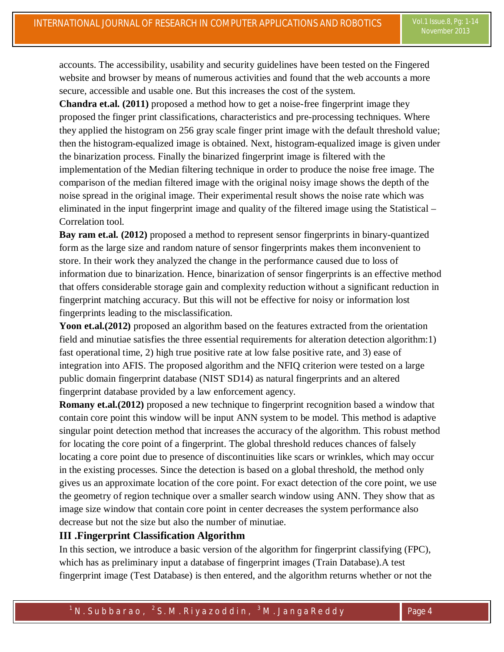accounts. The accessibility, usability and security guidelines have been tested on the Fingered website and browser by means of numerous activities and found that the web accounts a more secure, accessible and usable one. But this increases the cost of the system.

**Chandra et.al. (2011)** proposed a method how to get a noise-free fingerprint image they proposed the finger print classifications, characteristics and pre-processing techniques. Where they applied the histogram on 256 gray scale finger print image with the default threshold value; then the histogram-equalized image is obtained. Next, histogram-equalized image is given under the binarization process. Finally the binarized fingerprint image is filtered with the implementation of the Median filtering technique in order to produce the noise free image. The comparison of the median filtered image with the original noisy image shows the depth of the noise spread in the original image. Their experimental result shows the noise rate which was eliminated in the input fingerprint image and quality of the filtered image using the Statistical – Correlation tool.

**Bay ram et.al. (2012)** proposed a method to represent sensor fingerprints in binary-quantized form as the large size and random nature of sensor fingerprints makes them inconvenient to store. In their work they analyzed the change in the performance caused due to loss of information due to binarization. Hence, binarization of sensor fingerprints is an effective method that offers considerable storage gain and complexity reduction without a significant reduction in fingerprint matching accuracy. But this will not be effective for noisy or information lost fingerprints leading to the misclassification.

Yoon et.al.(2012) proposed an algorithm based on the features extracted from the orientation field and minutiae satisfies the three essential requirements for alteration detection algorithm:1) fast operational time, 2) high true positive rate at low false positive rate, and 3) ease of integration into AFIS. The proposed algorithm and the NFIQ criterion were tested on a large public domain fingerprint database (NIST SD14) as natural fingerprints and an altered fingerprint database provided by a law enforcement agency.

**Romany et.al.(2012)** proposed a new technique to fingerprint recognition based a window that contain core point this window will be input ANN system to be model. This method is adaptive singular point detection method that increases the accuracy of the algorithm. This robust method for locating the core point of a fingerprint. The global threshold reduces chances of falsely locating a core point due to presence of discontinuities like scars or wrinkles, which may occur in the existing processes. Since the detection is based on a global threshold, the method only gives us an approximate location of the core point. For exact detection of the core point, we use the geometry of region technique over a smaller search window using ANN. They show that as image size window that contain core point in center decreases the system performance also decrease but not the size but also the number of minutiae.

#### **III .Fingerprint Classification Algorithm**

In this section, we introduce a basic version of the algorithm for fingerprint classifying (FPC), which has as preliminary input a database of fingerprint images (Train Database).A test fingerprint image (Test Database) is then entered, and the algorithm returns whether or not the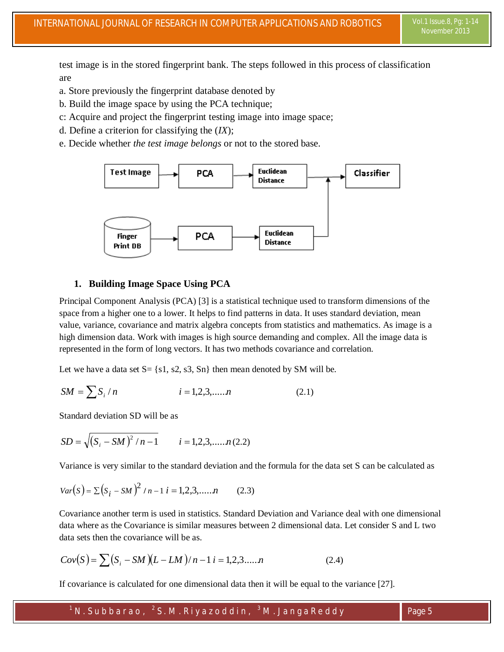test image is in the stored fingerprint bank. The steps followed in this process of classification are

- a. Store previously the fingerprint database denoted by
- b. Build the image space by using the PCA technique;
- c: Acquire and project the fingerprint testing image into image space;
- d. Define a criterion for classifying the (*IX*);
- e. Decide whether *the test image belongs* or not to the stored base.



#### **1. Building Image Space Using PCA**

Principal Component Analysis (PCA) [3] is a statistical technique used to transform dimensions of the space from a higher one to a lower. It helps to find patterns in data. It uses standard deviation, mean value, variance, covariance and matrix algebra concepts from statistics and mathematics. As image is a high dimension data. Work with images is high source demanding and complex. All the image data is represented in the form of long vectors. It has two methods covariance and correlation.

Let we have a data set  $S = \{s1, s2, s3, Sn\}$  then mean denoted by SM will be.

$$
SM = \sum S_i / n \qquad i = 1, 2, 3, \dots, n \qquad (2.1)
$$

Standard deviation SD will be as

$$
SD = \sqrt{(S_i - SM)^2 / n - 1} \qquad i = 1, 2, 3, \dots, n \, (2.2)
$$

Variance is very similar to the standard deviation and the formula for the data set S can be calculated as

$$
Var(S) = \sum (S_i - SM)^2 / n - 1 \ i = 1, 2, 3, \dots, n \tag{2.3}
$$

Covariance another term is used in statistics. Standard Deviation and Variance deal with one dimensional data where as the Covariance is similar measures between 2 dimensional data. Let consider S and L two data sets then the covariance will be as.

$$
Cov(S) = \sum (S_i - SM)(L - LM)/n - 1 \quad i = 1, 2, 3, \dots, n \tag{2.4}
$$

If covariance is calculated for one dimensional data then it will be equal to the variance [27].

 $^{\text{1}}$  N . Subbarao,  $^{\text{2}}$  S . M . Riyazoddin,  $^{\text{3}}$  M . JangaReddy  $\qquad \qquad \qquad$  Page 5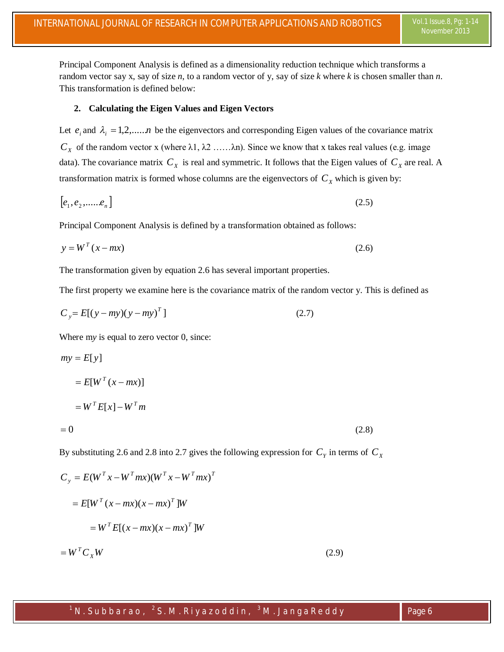Principal Component Analysis is defined as a dimensionality reduction technique which transforms a random vector say x, say of size *n*, to a random vector of y, say of size *k* where *k* is chosen smaller than *n*. This transformation is defined below:

#### **2. Calculating the Eigen Values and Eigen Vectors**

Let  $e_i$  and  $\lambda_i = 1, 2, \dots, n$  be the eigenvectors and corresponding Eigen values of the covariance matrix  $C_X$  of the random vector x (where λ1, λ2 ……λn). Since we know that x takes real values (e.g. image data). The covariance matrix  $C_X$  is real and symmetric. It follows that the Eigen values of  $C_X$  are real. A transformation matrix is formed whose columns are the eigenvectors of  $C_X$  which is given by:

$$
[e_1, e_2, \dots, e_n]
$$
 (2.5)

Principal Component Analysis is defined by a transformation obtained as follows:

$$
y = WT (x - mx)
$$
 (2.6)

The transformation given by equation 2.6 has several important properties.

The first property we examine here is the covariance matrix of the random vector y. This is defined as

$$
C_y = E[(y - my)(y - my)^T]
$$
 (2.7)

Where m*y* is equal to zero vector 0, since:

$$
my = E[y]
$$
  
=  $E[W^T (x - mx)]$   
=  $W^T E[x] - W^T m$   
= 0 (2.8)

By substituting 2.6 and 2.8 into 2.7 gives the following expression for  $C_\gamma$  in terms of  $C_\chi$ 

$$
C_y = E(W^T x - W^T mx)(W^T x - W^T mx)^T
$$
  

$$
= E[W^T (x - mx)(x - mx)^T]W
$$
  

$$
= W^T E[(x - mx)(x - mx)^T]W
$$
  

$$
= W^T C_x W
$$
 (2.9)

# $^{\text{1}}$  N . Subbarao,  $^{\text{2}}$  S . M . Riyazoddin,  $^{\text{3}}$  M . JangaReddy  $\qquad \qquad \qquad$  Page 6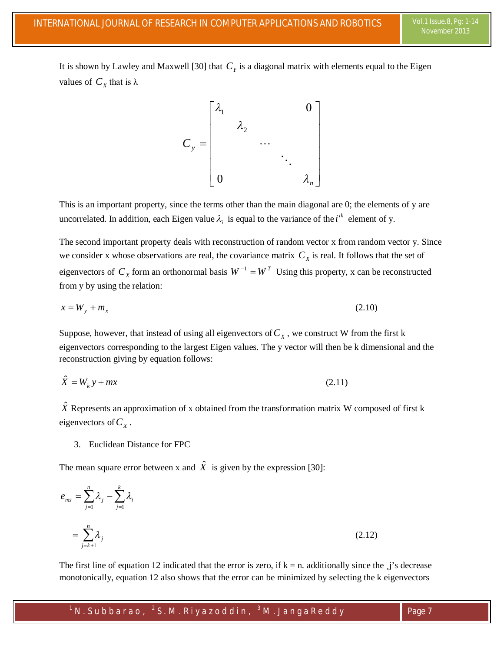It is shown by Lawley and Maxwell [30] that  $C<sub>y</sub>$  is a diagonal matrix with elements equal to the Eigen values of  $C_X$  that is  $\lambda$ 



This is an important property, since the terms other than the main diagonal are 0; the elements of y are uncorrelated. In addition, each Eigen value  $\lambda_i$  is equal to the variance of the *i*<sup>th</sup> element of y.

The second important property deals with reconstruction of random vector x from random vector y. Since we consider x whose observations are real, the covariance matrix  $C_X$  is real. It follows that the set of eigenvectors of  $C_X$  form an orthonormal basis  $W^{-1} = W^T$  Using this property, x can be reconstructed from y by using the relation:

$$
x = W_y + m_x \tag{2.10}
$$

Suppose, however, that instead of using all eigenvectors of  $C_X$ , we construct W from the first k eigenvectors corresponding to the largest Eigen values. The y vector will then be k dimensional and the reconstruction giving by equation follows:

$$
\hat{X} = W_k y + mx \tag{2.11}
$$

 $\hat{X}$  Represents an approximation of x obtained from the transformation matrix W composed of first k eigenvectors of  $C_\chi$ .

3. Euclidean Distance for FPC

The mean square error between x and  $\hat{X}$  is given by the expression [30]:

$$
e_{ms} = \sum_{j=1}^{n} \lambda_j - \sum_{j=1}^{k} \lambda_i
$$
  
= 
$$
\sum_{j=k+1}^{n} \lambda_j
$$
 (2.12)

The first line of equation 12 indicated that the error is zero, if  $k = n$ . additionally since the  $j$ 's decrease monotonically, equation 12 also shows that the error can be minimized by selecting the k eigenvectors

 $^{\text{1}}$  N . Subbarao,  $^{\text{2}}$  S . M . Riyazoddin,  $^{\text{3}}$  M . JangaReddy  $\hspace{1cm}$  Page 7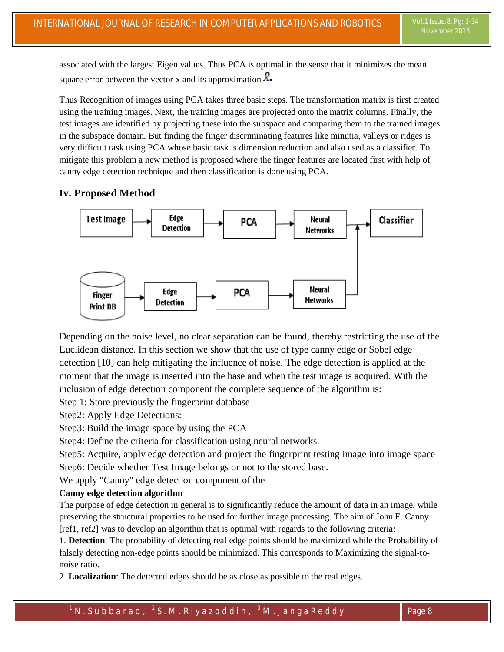associated with the largest Eigen values. Thus PCA is optimal in the sense that it minimizes the mean square error between the vector x and its approximation  $\ddot{X}$ .

Thus Recognition of images using PCA takes three basic steps. The transformation matrix is first created using the training images. Next, the training images are projected onto the matrix columns. Finally, the test images are identified by projecting these into the subspace and comparing them to the trained images in the subspace domain. But finding the finger discriminating features like minutia, valleys or ridges is very difficult task using PCA whose basic task is dimension reduction and also used as a classifier. To mitigate this problem a new method is proposed where the finger features are located first with help of canny edge detection technique and then classification is done using PCA.

# **Iv. Proposed Method**



Depending on the noise level, no clear separation can be found, thereby restricting the use of the Euclidean distance. In this section we show that the use of type canny edge or Sobel edge detection [10] can help mitigating the influence of noise. The edge detection is applied at the moment that the image is inserted into the base and when the test image is acquired. With the inclusion of edge detection component the complete sequence of the algorithm is:

Step 1: Store previously the fingerprint database

Step2: Apply Edge Detections:

Step3: Build the image space by using the PCA

Step4: Define the criteria for classification using neural networks.

Step5: Acquire, apply edge detection and project the fingerprint testing image into image space Step6: Decide whether Test Image belongs or not to the stored base.

We apply "Canny" edge detection component of the

#### **Canny edge detection algorithm**

The purpose of edge detection in general is to significantly reduce the amount of data in an image, while preserving the structural properties to be used for further image processing. The aim of John F. Canny [ref1, ref2] was to develop an algorithm that is optimal with regards to the following criteria:

1. **Detection**: The probability of detecting real edge points should be maximized while the Probability of falsely detecting non-edge points should be minimized. This corresponds to Maximizing the signal-tonoise ratio.

2. **Localization**: The detected edges should be as close as possible to the real edges.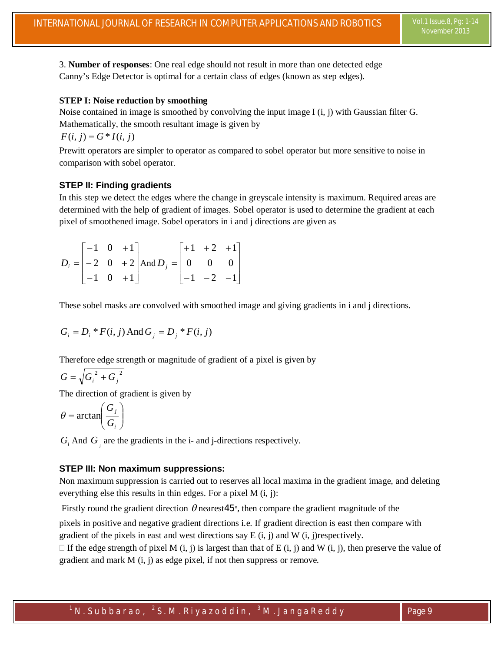3. **Number of responses**: One real edge should not result in more than one detected edge Canny's Edge Detector is optimal for a certain class of edges (known as step edges).

#### **STEP I: Noise reduction by smoothing**

Noise contained in image is smoothed by convolving the input image I (i, j) with Gaussian filter G. Mathematically, the smooth resultant image is given by

$$
F(i, j) = G * I(i, j)
$$

Prewitt operators are simpler to operator as compared to sobel operator but more sensitive to noise in comparison with sobel operator.

#### **STEP II: Finding gradients**

In this step we detect the edges where the change in greyscale intensity is maximum. Required areas are determined with the help of gradient of images. Sobel operator is used to determine the gradient at each pixel of smoothened image. Sobel operators in i and j directions are given as

$$
D_i = \begin{bmatrix} -1 & 0 & +1 \\ -2 & 0 & +2 \\ -1 & 0 & +1 \end{bmatrix} \text{And } D_j = \begin{bmatrix} +1 & +2 & +1 \\ 0 & 0 & 0 \\ -1 & -2 & -1 \end{bmatrix}
$$

These sobel masks are convolved with smoothed image and giving gradients in i and j directions.

$$
G_i = D_i * F(i, j)
$$
 And  $G_j = D_j * F(i, j)$ 

Therefore edge strength or magnitude of gradient of a pixel is given by

$$
G=\sqrt{{G_i}^2+{G_j}^2}
$$

The direction of gradient is given by

$$
\theta = \arctan\left(\frac{G_j}{G_i}\right)
$$

 $G_i$  And  $G_j$  are the gradients in the i- and j-directions respectively.

#### **STEP III: Non maximum suppressions:**

Non maximum suppression is carried out to reserves all local maxima in the gradient image, and deleting everything else this results in thin edges. For a pixel M (i, j):

Firstly round the gradient direction  $\theta$  nearest45°, then compare the gradient magnitude of the

pixels in positive and negative gradient directions i.e. If gradient direction is east then compare with gradient of the pixels in east and west directions say  $E(i, j)$  and  $W(i, j)$ respectively.

 $\Box$  If the edge strength of pixel M (i, j) is largest than that of E (i, j) and W (i, j), then preserve the value of gradient and mark M (i, j) as edge pixel, if not then suppress or remove.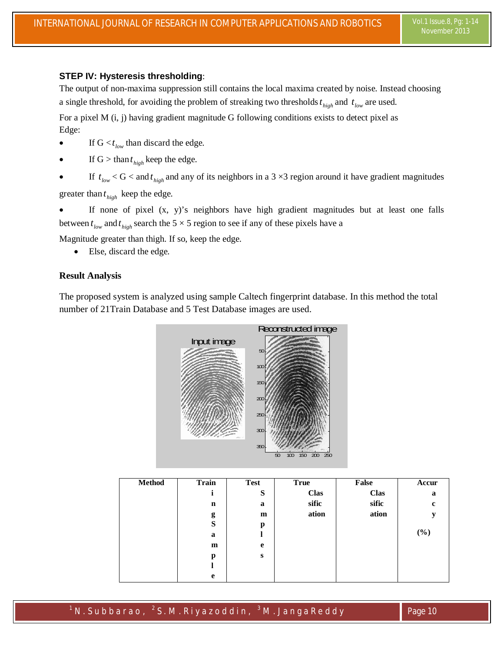## **STEP IV: Hysteresis thresholding**:

The output of non-maxima suppression still contains the local maxima created by noise. Instead choosing a single threshold, for avoiding the problem of streaking two thresholds  $t_{high}$  and  $t_{low}$  are used.

For a pixel M (i, j) having gradient magnitude G following conditions exists to detect pixel as Edge:

- If  $G \leq t_{low}$  than discard the edge.
- If  $G > \t{than } t_{high}$  keep the edge.
- If  $t_{low} < G <$  and  $t_{high}$  and any of its neighbors in a 3  $\times$ 3 region around it have gradient magnitudes greater than  $t_{high}$  keep the edge.

 If none of pixel (x, y)'s neighbors have high gradient magnitudes but at least one falls between  $t_{low}$  and  $t_{high}$  search the 5  $\times$  5 region to see if any of these pixels have a

Magnitude greater than thigh. If so, keep the edge.

Else, discard the edge.

#### **Result Analysis**

The proposed system is analyzed using sample Caltech fingerprint database. In this method the total number of 21Train Database and 5 Test Database images are used.



| <b>Method</b> | <b>Train</b> | <b>Test</b> | <b>True</b> | False       | Accur       |
|---------------|--------------|-------------|-------------|-------------|-------------|
|               |              | S           | <b>Clas</b> | <b>Clas</b> | a           |
|               | $\mathbf n$  | a           | sific       | sific       | $\mathbf c$ |
|               | g            | m           | ation       | ation       | y           |
|               | S            | p           |             |             |             |
|               | a            |             |             |             | (%)         |
|               | m            | e           |             |             |             |
|               | p            | ${\bf S}$   |             |             |             |
|               |              |             |             |             |             |
|               | e            |             |             |             |             |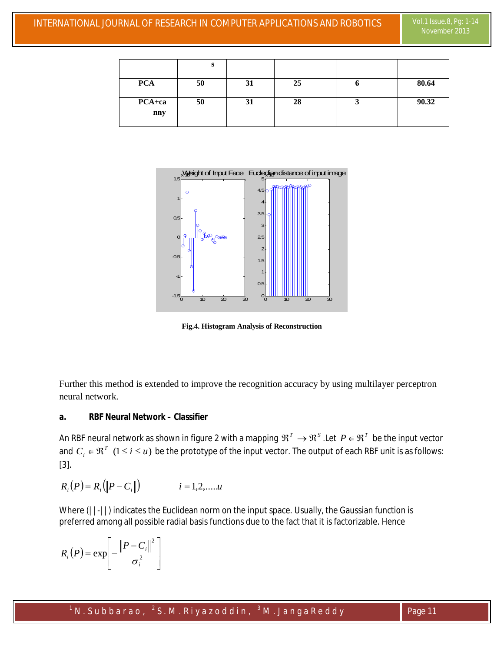|                   | s  |    |    |       |
|-------------------|----|----|----|-------|
| <b>PCA</b>        | 50 | 31 | 25 | 80.64 |
| $PCA + ca$<br>nny | 50 | 31 | 28 | 90.32 |



**Fig.4. Histogram Analysis of Reconstruction**

Further this method is extended to improve the recognition accuracy by using multilayer perceptron neural network.

### **a. RBF Neural Network – Classifier**

An RBF neural network as shown in figure 2 with a mapping  $\mathfrak{R}^T\to\mathfrak{R}^S$  .Let  $P\in\mathfrak{R}^T$  be the input vector and  $C_i \in \mathfrak{R}^T$   $(1 \le i \le u)$  be the prototype of the input vector. The output of each RBF unit is as follows: [3].

$$
R_i(P) = R_i(\|P - C_i\|) \qquad i = 1, 2, \dots, u
$$

Where ( $||-||$ ) indicates the Euclidean norm on the input space. Usually, the Gaussian function is preferred among all possible radial basis functions due to the fact that it is factorizable. Hence

$$
R_i(P) = \exp\left[-\frac{\left\|P - C_i\right\|^2}{\sigma_i^2}\right]
$$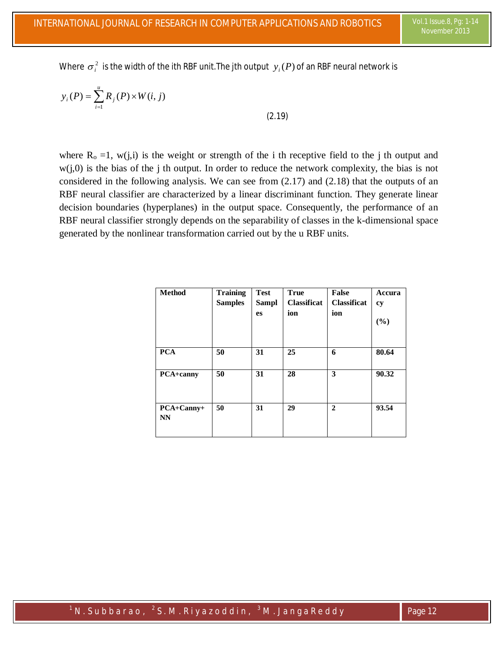Where  $\sigma_i^2$  is the width of the ith RBF unit.The jth output  $\,y_i(P)$  of an RBF neural network is

$$
y_i(P) = \sum_{i=1}^u R_j(P) \times W(i, j)
$$

(2.19)

where  $R_0 = 1$ , w(j,i) is the weight or strength of the i th receptive field to the j th output and  $w(i,0)$  is the bias of the j th output. In order to reduce the network complexity, the bias is not considered in the following analysis. We can see from (2.17) and (2.18) that the outputs of an RBF neural classifier are characterized by a linear discriminant function. They generate linear decision boundaries (hyperplanes) in the output space. Consequently, the performance of an RBF neural classifier strongly depends on the separability of classes in the k-dimensional space generated by the nonlinear transformation carried out by the u RBF units.

| <b>Method</b>    | <b>Training</b> | <b>Test</b>  | <b>True</b>        | <b>False</b>       | Accura |
|------------------|-----------------|--------------|--------------------|--------------------|--------|
|                  | <b>Samples</b>  | <b>Sampl</b> | <b>Classificat</b> | <b>Classificat</b> | cy     |
|                  |                 | <b>es</b>    | ion                | ion                |        |
|                  |                 |              |                    |                    | (%)    |
|                  |                 |              |                    |                    |        |
|                  |                 |              |                    |                    |        |
| <b>PCA</b>       | 50              | 31           | 25                 | 6                  | 80.64  |
|                  |                 |              |                    |                    |        |
| <b>PCA+canny</b> | 50              | 31           | 28                 | 3                  | 90.32  |
|                  |                 |              |                    |                    |        |
|                  |                 |              |                    |                    |        |
|                  |                 |              |                    |                    |        |
| PCA+Canny+       | 50              | 31           | 29                 | $\mathbf{2}$       | 93.54  |
| NN               |                 |              |                    |                    |        |
|                  |                 |              |                    |                    |        |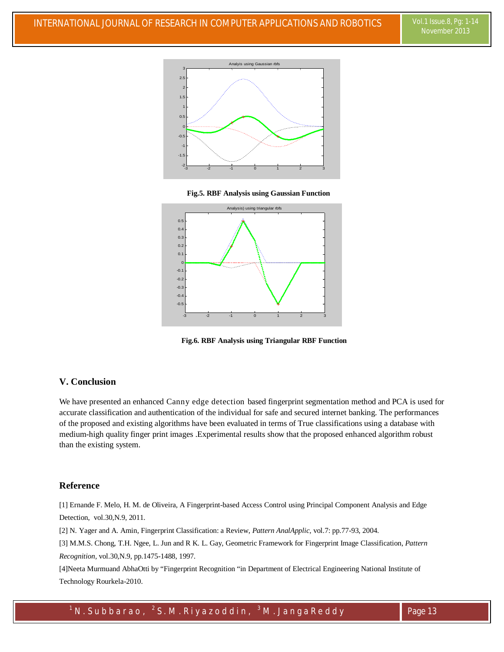

 **Fig.5. RBF Analysis using Gaussian Function**



 **Fig.6. RBF Analysis using Triangular RBF Function**

#### **V. Conclusion**

We have presented an enhanced Canny edge detection based fingerprint segmentation method and PCA is used for accurate classification and authentication of the individual for safe and secured internet banking. The performances of the proposed and existing algorithms have been evaluated in terms of True classifications using a database with medium-high quality finger print images .Experimental results show that the proposed enhanced algorithm robust than the existing system.

#### **Reference**

[1] Ernande F. Melo, H. M. de Oliveira, A Fingerprint-based Access Control using Principal Component Analysis and Edge Detection, vol.30,N.9, 2011.

[2] N. Yager and A. Amin, Fingerprint Classification: a Review, *Pattern AnalApplic,* vol.7: pp.77-93, 2004.

[3] M.M.S. Chong, T.H. Ngee, L. Jun and R K. L. Gay, Geometric Framework for Fingerprint Image Classification, *Pattern Recognition,* vol.30,N.9, pp.1475-1488, 1997.

[4]Neeta Murmuand AbhaOtti by "Fingerprint Recognition "in Department of Electrical Engineering National Institute of Technology Rourkela-2010.

 $^{\text{1}}$  N . Subbarao,  $^{\text{2}}$  S . M . Riyazoddin,  $^{\text{3}}$  M . Janga R e ddy  $\qquad \qquad \qquad \qquad$  Page 13